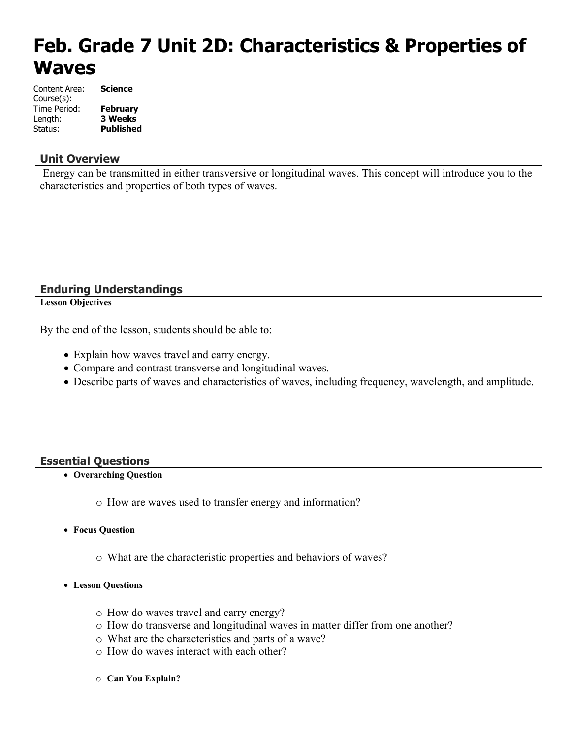# **Feb. Grade 7 Unit 2D: Characteristics & Properties of Waves**

| Content Area: | <b>Science</b>   |
|---------------|------------------|
| Course(s):    |                  |
| Time Period:  | <b>February</b>  |
| Length:       | <b>3 Weeks</b>   |
| Status:       | <b>Published</b> |

#### **Unit Overview**

 Energy can be transmitted in either transversive or longitudinal waves. This concept will introduce you to the characteristics and properties of both types of waves.

#### **Enduring Understandings**

**Lesson Objectives**

By the end of the lesson, students should be able to:

- Explain how waves travel and carry energy.
- Compare and contrast transverse and longitudinal waves.
- Describe parts of waves and characteristics of waves, including frequency, wavelength, and amplitude.

#### **Essential Questions**

- **Overarching Question**
	- o How are waves used to transfer energy and information?
- **Focus Question**
	- o What are the characteristic properties and behaviors of waves?
- **Lesson Questions**
	- o How do waves travel and carry energy?
	- o How do transverse and longitudinal waves in matter differ from one another?
	- o What are the characteristics and parts of a wave?
	- o How do waves interact with each other?
	- o **Can You Explain?**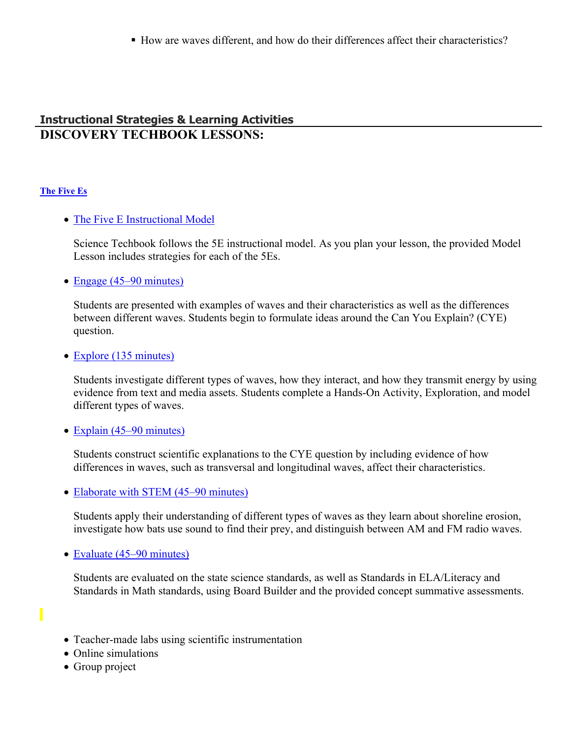How are waves different, and how do their differences affect their characteristics?

#### **Instructional Strategies & Learning Activities DISCOVERY TECHBOOK LESSONS:**

#### **[The Five Es](https://app.discoveryeducation.com/learn/techbook/units/0eb7a0d2-f81f-4021-a6a6-10cacdb31920/concepts/e762ea1e-5f39-4e0e-ab5f-61c01111d9f2/lesson/sections/037680c9-ef7b-4959-9258-ef44190c651b)**

#### • [The Five E Instructional Model](https://app.discoveryeducation.com/learn/techbook/units/0eb7a0d2-f81f-4021-a6a6-10cacdb31920/concepts/e762ea1e-5f39-4e0e-ab5f-61c01111d9f2/lesson/sections/037680c9-ef7b-4959-9258-ef44190c651b#c56cbf96-7114-4103-8995-0788c28f7935)

Science Techbook follows the 5E instructional model. As you plan your lesson, the provided Model Lesson includes strategies for each of the 5Es.

• [Engage \(45–90 minutes\)](https://app.discoveryeducation.com/learn/techbook/units/0eb7a0d2-f81f-4021-a6a6-10cacdb31920/concepts/e762ea1e-5f39-4e0e-ab5f-61c01111d9f2/lesson/sections/037680c9-ef7b-4959-9258-ef44190c651b#8d28f597-8d5f-4005-b4af-cb97ee2c3664)

Students are presented with examples of waves and their characteristics as well as the differences between different waves. Students begin to formulate ideas around the Can You Explain? (CYE) question.

• [Explore \(135 minutes\)](https://app.discoveryeducation.com/learn/techbook/units/0eb7a0d2-f81f-4021-a6a6-10cacdb31920/concepts/e762ea1e-5f39-4e0e-ab5f-61c01111d9f2/lesson/sections/037680c9-ef7b-4959-9258-ef44190c651b#1fbc4a90-5d4c-4464-96c0-40d0aad626ef)

Students investigate different types of waves, how they interact, and how they transmit energy by using evidence from text and media assets. Students complete a Hands-On Activity, Exploration, and model different types of waves.

• [Explain \(45–90 minutes\)](https://app.discoveryeducation.com/learn/techbook/units/0eb7a0d2-f81f-4021-a6a6-10cacdb31920/concepts/e762ea1e-5f39-4e0e-ab5f-61c01111d9f2/lesson/sections/037680c9-ef7b-4959-9258-ef44190c651b#65bd41af-d393-44c7-a077-649269df3e6b)

Students construct scientific explanations to the CYE question by including evidence of how differences in waves, such as transversal and longitudinal waves, affect their characteristics.

• [Elaborate with STEM \(45–90 minutes\)](https://app.discoveryeducation.com/learn/techbook/units/0eb7a0d2-f81f-4021-a6a6-10cacdb31920/concepts/e762ea1e-5f39-4e0e-ab5f-61c01111d9f2/lesson/sections/037680c9-ef7b-4959-9258-ef44190c651b#dc601c50-3693-4e6a-9a0e-af4d86aee294)

Students apply their understanding of different types of waves as they learn about shoreline erosion, investigate how bats use sound to find their prey, and distinguish between AM and FM radio waves.

• [Evaluate \(45–90 minutes\)](https://app.discoveryeducation.com/learn/techbook/units/0eb7a0d2-f81f-4021-a6a6-10cacdb31920/concepts/e762ea1e-5f39-4e0e-ab5f-61c01111d9f2/lesson/sections/037680c9-ef7b-4959-9258-ef44190c651b#50e291d5-4ad1-478e-9514-caede19a36d0)

Students are evaluated on the state science standards, as well as Standards in ELA/Literacy and Standards in Math standards, using Board Builder and the provided concept summative assessments.

- Teacher-made labs using scientific instrumentation
- Online simulations
- Group project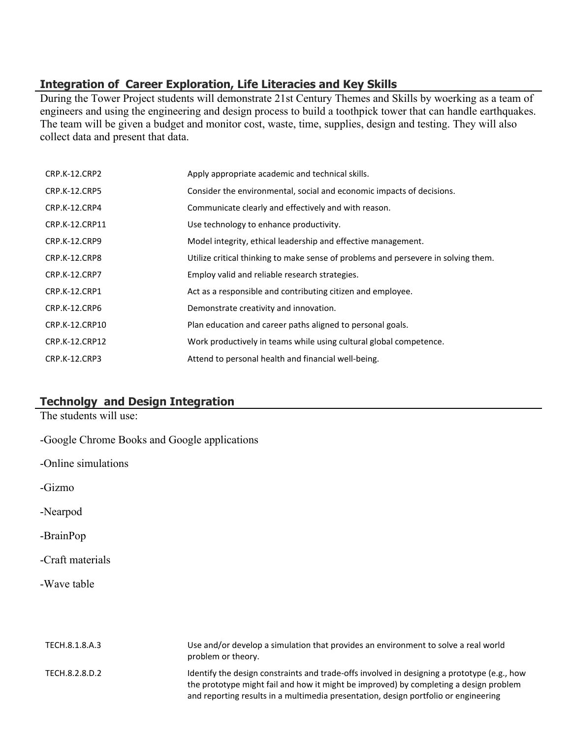### **Integration of Career Exploration, Life Literacies and Key Skills**

During the Tower Project students will demonstrate 21st Century Themes and Skills by woerking as a team of engineers and using the engineering and design process to build a toothpick tower that can handle earthquakes. The team will be given a budget and monitor cost, waste, time, supplies, design and testing. They will also collect data and present that data.

| <b>CRP.K-12.CRP2</b> | Apply appropriate academic and technical skills.                                   |
|----------------------|------------------------------------------------------------------------------------|
| <b>CRP.K-12.CRP5</b> | Consider the environmental, social and economic impacts of decisions.              |
| CRP.K-12.CRP4        | Communicate clearly and effectively and with reason.                               |
| CRP.K-12.CRP11       | Use technology to enhance productivity.                                            |
| CRP.K-12.CRP9        | Model integrity, ethical leadership and effective management.                      |
| CRP.K-12.CRP8        | Utilize critical thinking to make sense of problems and persevere in solving them. |
| <b>CRP.K-12.CRP7</b> | Employ valid and reliable research strategies.                                     |
| CRP.K-12.CRP1        | Act as a responsible and contributing citizen and employee.                        |
| <b>CRP.K-12.CRP6</b> | Demonstrate creativity and innovation.                                             |
| CRP.K-12.CRP10       | Plan education and career paths aligned to personal goals.                         |
| CRP.K-12.CRP12       | Work productively in teams while using cultural global competence.                 |
| CRP.K-12.CRP3        | Attend to personal health and financial well-being.                                |

### **Technolgy and Design Integration**

The students will use:

- -Google Chrome Books and Google applications
- -Online simulations
- -Gizmo
- -Nearpod
- -BrainPop
- -Craft materials
- -Wave table

| TECH.8.1.8.A.3 | Use and/or develop a simulation that provides an environment to solve a real world<br>problem or theory.                                                                                                                                                                    |
|----------------|-----------------------------------------------------------------------------------------------------------------------------------------------------------------------------------------------------------------------------------------------------------------------------|
| TECH.8.2.8.D.2 | Identify the design constraints and trade-offs involved in designing a prototype (e.g., how<br>the prototype might fail and how it might be improved) by completing a design problem<br>and reporting results in a multimedia presentation, design portfolio or engineering |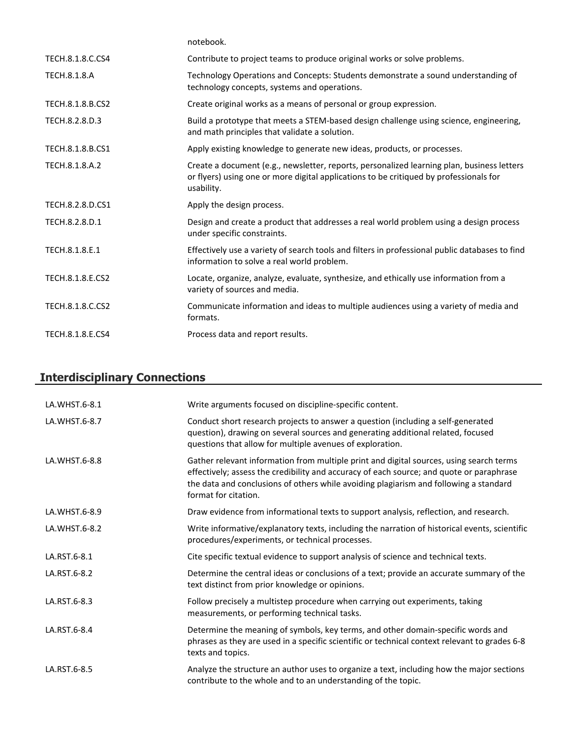|                     | notebook.                                                                                                                                                                                          |
|---------------------|----------------------------------------------------------------------------------------------------------------------------------------------------------------------------------------------------|
| TECH.8.1.8.C.CS4    | Contribute to project teams to produce original works or solve problems.                                                                                                                           |
| <b>TECH.8.1.8.A</b> | Technology Operations and Concepts: Students demonstrate a sound understanding of<br>technology concepts, systems and operations.                                                                  |
| TECH.8.1.8.B.CS2    | Create original works as a means of personal or group expression.                                                                                                                                  |
| TECH.8.2.8.D.3      | Build a prototype that meets a STEM-based design challenge using science, engineering,<br>and math principles that validate a solution.                                                            |
| TECH.8.1.8.B.CS1    | Apply existing knowledge to generate new ideas, products, or processes.                                                                                                                            |
| TECH.8.1.8.A.2      | Create a document (e.g., newsletter, reports, personalized learning plan, business letters<br>or flyers) using one or more digital applications to be critiqued by professionals for<br>usability. |
| TECH.8.2.8.D.CS1    | Apply the design process.                                                                                                                                                                          |
| TECH.8.2.8.D.1      | Design and create a product that addresses a real world problem using a design process<br>under specific constraints.                                                                              |
| TECH.8.1.8.E.1      | Effectively use a variety of search tools and filters in professional public databases to find<br>information to solve a real world problem.                                                       |
| TECH.8.1.8.E.CS2    | Locate, organize, analyze, evaluate, synthesize, and ethically use information from a<br>variety of sources and media.                                                                             |
| TECH.8.1.8.C.CS2    | Communicate information and ideas to multiple audiences using a variety of media and<br>formats.                                                                                                   |
| TECH.8.1.8.E.CS4    | Process data and report results.                                                                                                                                                                   |

# **Interdisciplinary Connections**

| LA.WHST.6-8.1 | Write arguments focused on discipline-specific content.                                                                                                                                                                                                                                              |
|---------------|------------------------------------------------------------------------------------------------------------------------------------------------------------------------------------------------------------------------------------------------------------------------------------------------------|
| LA.WHST.6-8.7 | Conduct short research projects to answer a question (including a self-generated<br>question), drawing on several sources and generating additional related, focused<br>questions that allow for multiple avenues of exploration.                                                                    |
| LA.WHST.6-8.8 | Gather relevant information from multiple print and digital sources, using search terms<br>effectively; assess the credibility and accuracy of each source; and quote or paraphrase<br>the data and conclusions of others while avoiding plagiarism and following a standard<br>format for citation. |
| LA.WHST.6-8.9 | Draw evidence from informational texts to support analysis, reflection, and research.                                                                                                                                                                                                                |
| LA.WHST.6-8.2 | Write informative/explanatory texts, including the narration of historical events, scientific<br>procedures/experiments, or technical processes.                                                                                                                                                     |
| LA.RST.6-8.1  | Cite specific textual evidence to support analysis of science and technical texts.                                                                                                                                                                                                                   |
| LA.RST.6-8.2  | Determine the central ideas or conclusions of a text; provide an accurate summary of the<br>text distinct from prior knowledge or opinions.                                                                                                                                                          |
| LA.RST.6-8.3  | Follow precisely a multistep procedure when carrying out experiments, taking<br>measurements, or performing technical tasks.                                                                                                                                                                         |
| LA.RST.6-8.4  | Determine the meaning of symbols, key terms, and other domain-specific words and<br>phrases as they are used in a specific scientific or technical context relevant to grades 6-8<br>texts and topics.                                                                                               |
| LA.RST.6-8.5  | Analyze the structure an author uses to organize a text, including how the major sections<br>contribute to the whole and to an understanding of the topic.                                                                                                                                           |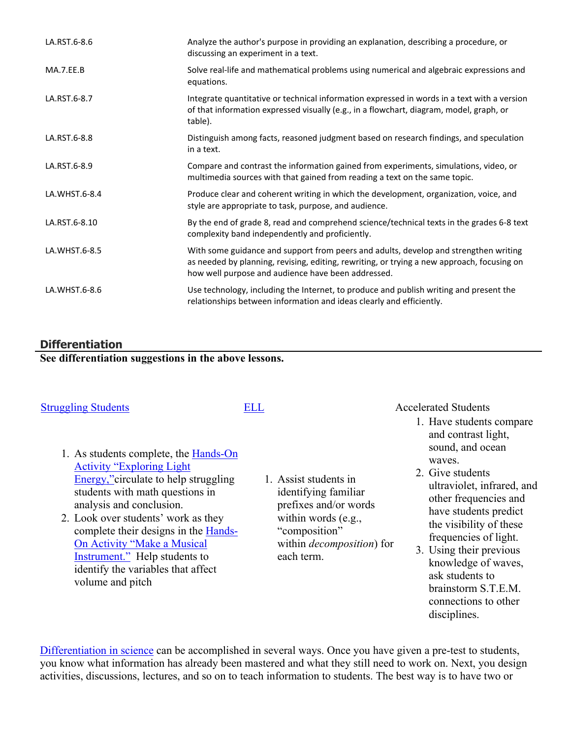| LA.RST.6-8.6  | Analyze the author's purpose in providing an explanation, describing a procedure, or<br>discussing an experiment in a text.                                                                                                              |
|---------------|------------------------------------------------------------------------------------------------------------------------------------------------------------------------------------------------------------------------------------------|
| MA.7.EE.B     | Solve real-life and mathematical problems using numerical and algebraic expressions and<br>equations.                                                                                                                                    |
| LA.RST.6-8.7  | Integrate quantitative or technical information expressed in words in a text with a version<br>of that information expressed visually (e.g., in a flowchart, diagram, model, graph, or<br>table).                                        |
| LA.RST.6-8.8  | Distinguish among facts, reasoned judgment based on research findings, and speculation<br>in a text.                                                                                                                                     |
| LA.RST.6-8.9  | Compare and contrast the information gained from experiments, simulations, video, or<br>multimedia sources with that gained from reading a text on the same topic.                                                                       |
| LA.WHST.6-8.4 | Produce clear and coherent writing in which the development, organization, voice, and<br>style are appropriate to task, purpose, and audience.                                                                                           |
| LA.RST.6-8.10 | By the end of grade 8, read and comprehend science/technical texts in the grades 6-8 text<br>complexity band independently and proficiently.                                                                                             |
| LA.WHST.6-8.5 | With some guidance and support from peers and adults, develop and strengthen writing<br>as needed by planning, revising, editing, rewriting, or trying a new approach, focusing on<br>how well purpose and audience have been addressed. |
| LA.WHST.6-8.6 | Use technology, including the Internet, to produce and publish writing and present the<br>relationships between information and ideas clearly and efficiently.                                                                           |

#### **Differentiation**

**See differentiation suggestions in the above lessons.** 

- 
- 1. As students complete, the [Hands-On](https://app.discoveryeducation.com/player/view/assetGuid/e12e7c37-f502-455d-8643-a73e41d7250c)  [Activity "Exploring Light](https://app.discoveryeducation.com/player/view/assetGuid/e12e7c37-f502-455d-8643-a73e41d7250c)  [Energy,"c](https://app.discoveryeducation.com/player/view/assetGuid/e12e7c37-f502-455d-8643-a73e41d7250c)irculate to help struggling students with math questions in analysis and conclusion.
- 2. Look over students' work as they complete their designs in the [Hands-](https://app.discoveryeducation.com/player/view/assetGuid/9d0df726-8db4-4bab-9eb6-437939450449)[On Activity "Make a Musical](https://app.discoveryeducation.com/player/view/assetGuid/9d0df726-8db4-4bab-9eb6-437939450449)  [Instrument."](https://app.discoveryeducation.com/player/view/assetGuid/9d0df726-8db4-4bab-9eb6-437939450449) Help students to identify the variables that affect volume and pitch
- 1. Assist students in identifying familiar prefixes and/or words within words (e.g., "composition" within *decomposition*) for each term.

[Struggling Students](https://app.discoveryeducation.com/learn/techbook/units/0eb7a0d2-f81f-4021-a6a6-10cacdb31920/concepts/e762ea1e-5f39-4e0e-ab5f-61c01111d9f2/lesson/sections/752b71f3-eb4e-4889-81f7-d768dfae1b29) [ELL](https://app.discoveryeducation.com/player/view/assetGuid/D727DF69-B79B-4A92-AA1F-CE23C74D98D9) **ELL** Accelerated Students

- 1. Have students compare and contrast light, sound, and ocean waves.
- 2. Give students ultraviolet, infrared, and other frequencies and have students predict the visibility of these frequencies of light.
- 3. Using their previous knowledge of waves, ask students to brainstorm S.T.E.M. connections to other disciplines.

[Differentiation in science](http://www.brighthubeducation.com/teaching-gifted-students/65181-differentiation-techniques-and-activities-in-the-classroom-for-gifted-students/) can be accomplished in several ways. Once you have given a pre-test to students, you know what information has already been mastered and what they still need to work on. Next, you design activities, discussions, lectures, and so on to teach information to students. The best way is to have two or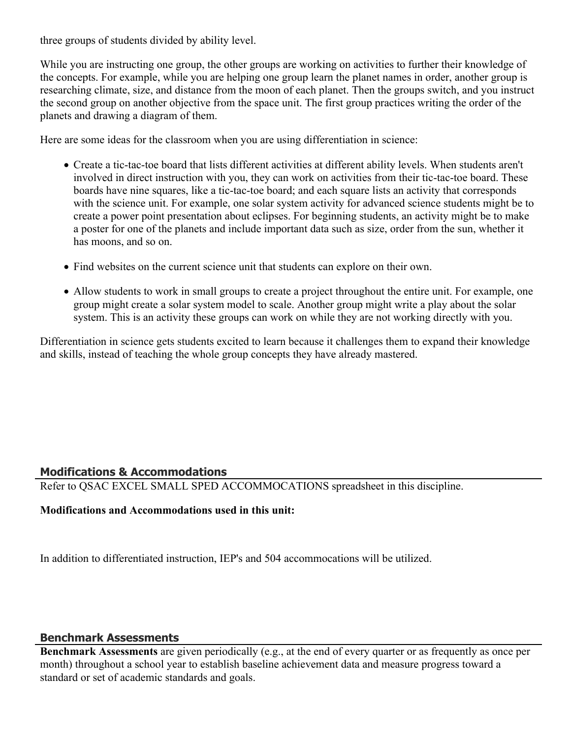three groups of students divided by ability level.

While you are instructing one group, the other groups are working on activities to further their knowledge of the concepts. For example, while you are helping one group learn the planet names in order, another group is researching climate, size, and distance from the moon of each planet. Then the groups switch, and you instruct the second group on another objective from the space unit. The first group practices writing the order of the planets and drawing a diagram of them.

Here are some ideas for the classroom when you are using differentiation in science:

- Create a tic-tac-toe board that lists different activities at different ability levels. When students aren't involved in direct instruction with you, they can work on activities from their tic-tac-toe board. These boards have nine squares, like a tic-tac-toe board; and each square lists an activity that corresponds with the science unit. For example, one solar system activity for advanced science students might be to create a power point presentation about eclipses. For beginning students, an activity might be to make a poster for one of the planets and include important data such as size, order from the sun, whether it has moons, and so on.
- Find websites on the current science unit that students can explore on their own.
- Allow students to work in small groups to create a project throughout the entire unit. For example, one group might create a solar system model to scale. Another group might write a play about the solar system. This is an activity these groups can work on while they are not working directly with you.

Differentiation in science gets students excited to learn because it challenges them to expand their knowledge and skills, instead of teaching the whole group concepts they have already mastered.

#### **Modifications & Accommodations**

Refer to QSAC EXCEL SMALL SPED ACCOMMOCATIONS spreadsheet in this discipline.

#### **Modifications and Accommodations used in this unit:**

In addition to differentiated instruction, IEP's and 504 accommocations will be utilized.

#### **Benchmark Assessments**

**Benchmark Assessments** are given periodically (e.g., at the end of every quarter or as frequently as once per month) throughout a school year to establish baseline achievement data and measure progress toward a standard or set of academic standards and goals.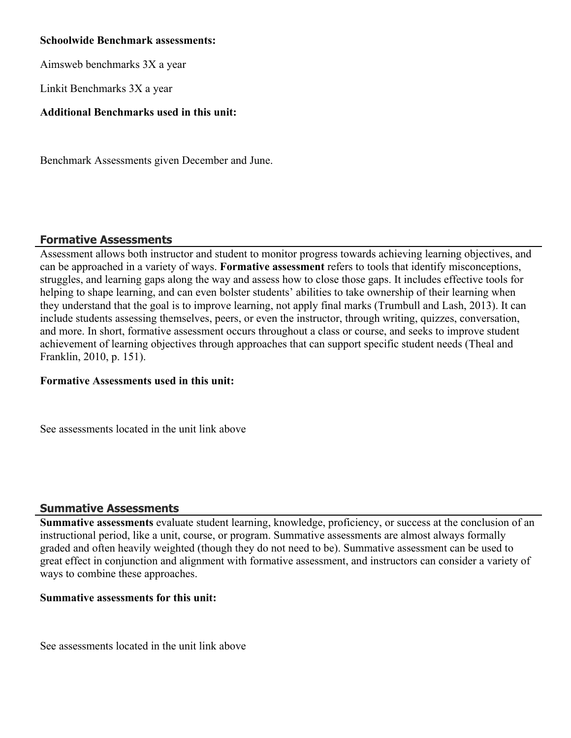#### **Schoolwide Benchmark assessments:**

Aimsweb benchmarks 3X a year

Linkit Benchmarks 3X a year

#### **Additional Benchmarks used in this unit:**

Benchmark Assessments given December and June.

#### **Formative Assessments**

Assessment allows both instructor and student to monitor progress towards achieving learning objectives, and can be approached in a variety of ways. **Formative assessment** refers to tools that identify misconceptions, struggles, and learning gaps along the way and assess how to close those gaps. It includes effective tools for helping to shape learning, and can even bolster students' abilities to take ownership of their learning when they understand that the goal is to improve learning, not apply final marks (Trumbull and Lash, 2013). It can include students assessing themselves, peers, or even the instructor, through writing, quizzes, conversation, and more. In short, formative assessment occurs throughout a class or course, and seeks to improve student achievement of learning objectives through approaches that can support specific student needs (Theal and Franklin, 2010, p. 151).

#### **Formative Assessments used in this unit:**

See assessments located in the unit link above

#### **Summative Assessments**

**Summative assessments** evaluate student learning, knowledge, proficiency, or success at the conclusion of an instructional period, like a unit, course, or program. Summative assessments are almost always formally graded and often heavily weighted (though they do not need to be). Summative assessment can be used to great effect in conjunction and alignment with formative assessment, and instructors can consider a variety of ways to combine these approaches.

#### **Summative assessments for this unit:**

See assessments located in the unit link above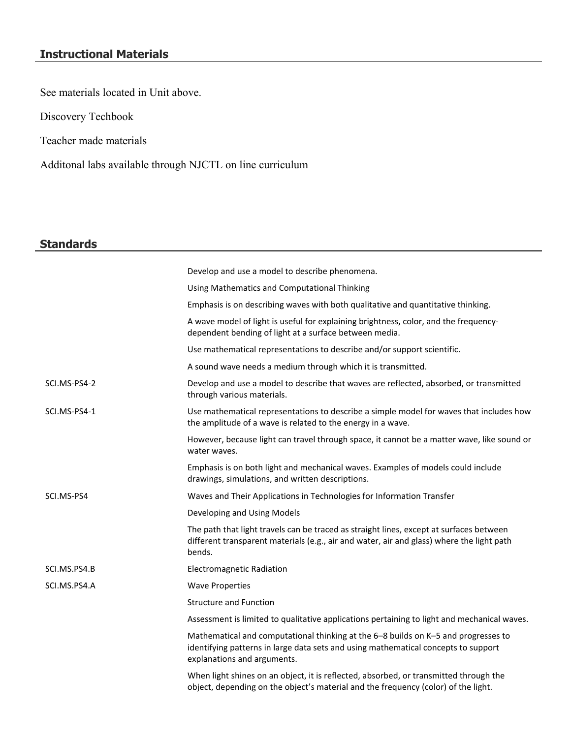# **Instructional Materials**

See materials located in Unit above.

Discovery Techbook

Teacher made materials

Additonal labs available through NJCTL on line curriculum

## **Standards**

|              | Develop and use a model to describe phenomena.                                                                                                                                                          |
|--------------|---------------------------------------------------------------------------------------------------------------------------------------------------------------------------------------------------------|
|              | Using Mathematics and Computational Thinking                                                                                                                                                            |
|              | Emphasis is on describing waves with both qualitative and quantitative thinking.                                                                                                                        |
|              | A wave model of light is useful for explaining brightness, color, and the frequency-<br>dependent bending of light at a surface between media.                                                          |
|              | Use mathematical representations to describe and/or support scientific.                                                                                                                                 |
|              | A sound wave needs a medium through which it is transmitted.                                                                                                                                            |
| SCI.MS-PS4-2 | Develop and use a model to describe that waves are reflected, absorbed, or transmitted<br>through various materials.                                                                                    |
| SCI.MS-PS4-1 | Use mathematical representations to describe a simple model for waves that includes how<br>the amplitude of a wave is related to the energy in a wave.                                                  |
|              | However, because light can travel through space, it cannot be a matter wave, like sound or<br>water waves.                                                                                              |
|              | Emphasis is on both light and mechanical waves. Examples of models could include<br>drawings, simulations, and written descriptions.                                                                    |
| SCI.MS-PS4   | Waves and Their Applications in Technologies for Information Transfer                                                                                                                                   |
|              | Developing and Using Models                                                                                                                                                                             |
|              | The path that light travels can be traced as straight lines, except at surfaces between<br>different transparent materials (e.g., air and water, air and glass) where the light path<br>bends.          |
| SCI.MS.PS4.B | <b>Electromagnetic Radiation</b>                                                                                                                                                                        |
| SCI.MS.PS4.A | <b>Wave Properties</b>                                                                                                                                                                                  |
|              | <b>Structure and Function</b>                                                                                                                                                                           |
|              | Assessment is limited to qualitative applications pertaining to light and mechanical waves.                                                                                                             |
|              | Mathematical and computational thinking at the 6-8 builds on K-5 and progresses to<br>identifying patterns in large data sets and using mathematical concepts to support<br>explanations and arguments. |
|              | When light shines on an object, it is reflected, absorbed, or transmitted through the<br>object, depending on the object's material and the frequency (color) of the light.                             |